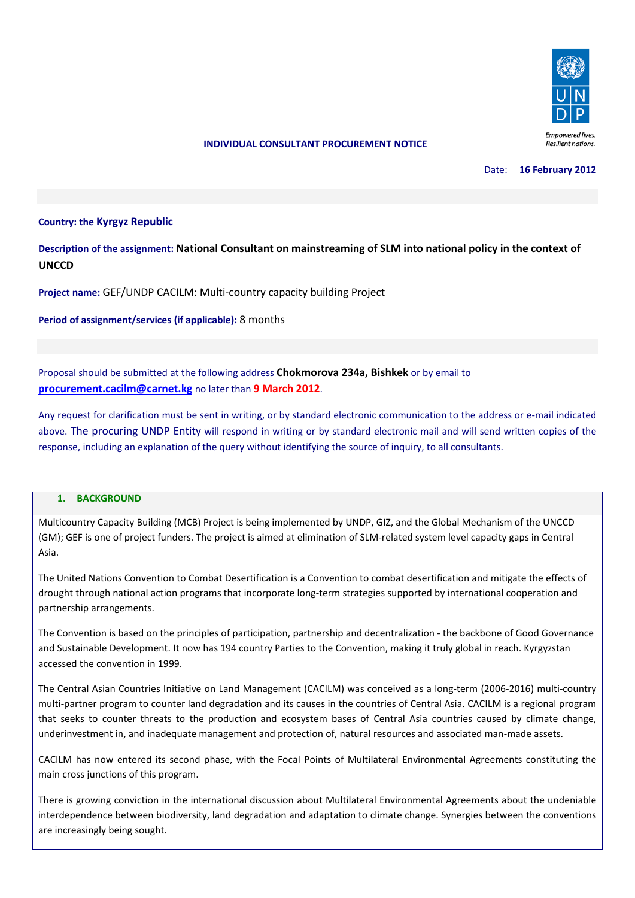

#### **INDIVIDUAL CONSULTANT PROCUREMENT NOTICE**

Date: **16 February 2012**

# **Country: the Kyrgyz Republic**

**Description of the assignment: National Consultant on mainstreaming of SLM into national policy in the context of UNCCD**

**Project name:** GEF/UNDP CACILM: Multi-country capacity building Project

**Period of assignment/services (if applicable):** 8 months

# Proposal should be submitted at the following address **Chokmorova 234a, Bishkek** or by email to **[procurement.cacilm@carnet.kg](mailto:procurement.cacilm@carnet.kg)** no later than **9 March 2012**.

Any request for clarification must be sent in writing, or by standard electronic communication to the address or e-mail indicated above. The procuring UNDP Entity will respond in writing or by standard electronic mail and will send written copies of the response, including an explanation of the query without identifying the source of inquiry, to all consultants.

## **1. BACKGROUND**

Multicountry Capacity Building (MCB) Project is being implemented by UNDP, GIZ, and the Global Mechanism of the UNCCD (GM); GEF is one of project funders. The project is aimed at elimination of SLM-related system level capacity gaps in Central Asia.

The United Nations Convention to Combat Desertification is a Convention to comba[t desertification](http://en.wikipedia.org/wiki/Desertification) and mitigate the effects of [drought](http://en.wikipedia.org/wiki/Drought) through national action programs that incorporate long-term strategies supported by international cooperation and partnership arrangements.

The Convention is based on the principles of participation, partnership and decentralization - the backbone o[f Good Governance](http://en.wikipedia.org/wiki/Good_Governance) an[d Sustainable Development.](http://en.wikipedia.org/wiki/Sustainable_Development) It now has 194 country Parties to the Convention, making it truly global in reach. Kyrgyzstan accessed the convention in 1999.

The Central Asian Countries Initiative on Land Management (CACILM) was conceived as a long-term (2006-2016) multi-country multi-partner program to counter land degradation and its causes in the countries of Central Asia. CACILM is a regional program that seeks to counter threats to the production and ecosystem bases of Central Asia countries caused by climate change, underinvestment in, and inadequate management and protection of, natural resources and associated man-made assets.

CACILM has now entered its second phase, with the Focal Points of Multilateral Environmental Agreements constituting the main cross junctions of this program.

There is growing conviction in the international discussion about Multilateral Environmental Agreements about the undeniable interdependence between biodiversity, land degradation and adaptation to climate change. Synergies between the conventions are increasingly being sought.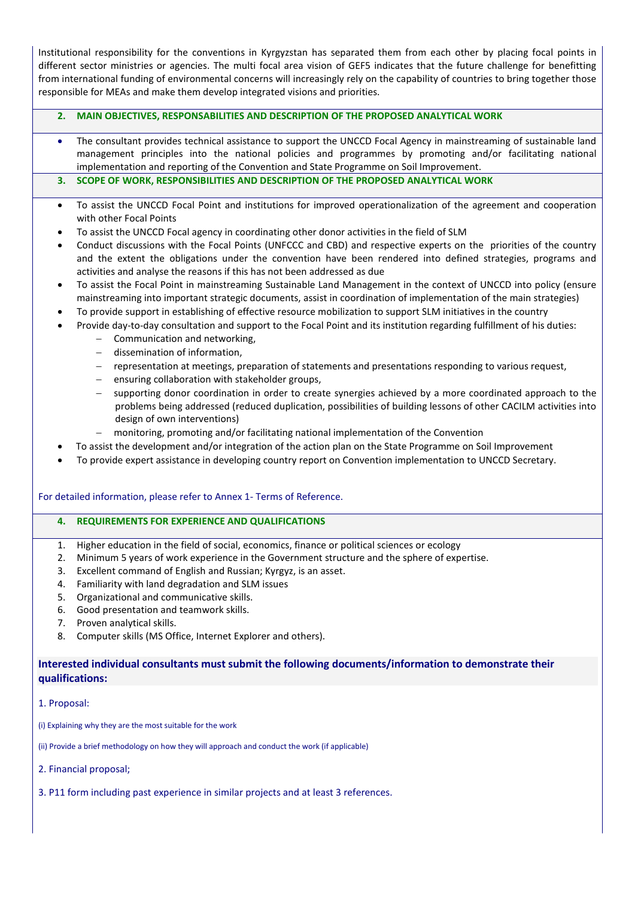Institutional responsibility for the conventions in Kyrgyzstan has separated them from each other by placing focal points in different sector ministries or agencies. The multi focal area vision of GEF5 indicates that the future challenge for benefitting from international funding of environmental concerns will increasingly rely on the capability of countries to bring together those responsible for MEAs and make them develop integrated visions and priorities.

## **2. MAIN OBJECTIVES, RESPONSABILITIES AND DESCRIPTION OF THE PROPOSED ANALYTICAL WORK**

• The consultant provides technical assistance to support the UNCCD Focal Agency in mainstreaming of sustainable land management principles into the national policies and programmes by promoting and/or facilitating national implementation and reporting of the Convention and State Programme on Soil Improvement.

# **3. SCOPE OF WORK, RESPONSIBILITIES AND DESCRIPTION OF THE PROPOSED ANALYTICAL WORK**

- To assist the UNCCD Focal Point and institutions for improved operationalization of the agreement and cooperation with other Focal Points
- To assist the UNCCD Focal agency in coordinating other donor activities in the field of SLM
- Conduct discussions with the Focal Points (UNFCCC and CBD) and respective experts on the priorities of the country and the extent the obligations under the convention have been rendered into defined strategies, programs and activities and analyse the reasons if this has not been addressed as due
- To assist the Focal Point in mainstreaming Sustainable Land Management in the context of UNCCD into policy (ensure mainstreaming into important strategic documents, assist in coordination of implementation of the main strategies)
- To provide support in establishing of effective resource mobilization to support SLM initiatives in the country
- Provide day-to-day consultation and support to the Focal Point and its institution regarding fulfillment of his duties:
	- − Communication and networking,
	- − dissemination of information,
	- − representation at meetings, preparation of statements and presentations responding to various request,
	- − ensuring collaboration with stakeholder groups,
	- − supporting donor coordination in order to create synergies achieved by a more coordinated approach to the problems being addressed (reduced duplication, possibilities of building lessons of other CACILM activities into design of own interventions)
	- − monitoring, promoting and/or facilitating national implementation of the Convention
	- To assist the development and/or integration of the action plan on the State Programme on Soil Improvement
- To provide expert assistance in developing country report on Convention implementation to UNCCD Secretary.

#### For detailed information, please refer to Annex 1- Terms of Reference.

## **4. REQUIREMENTS FOR EXPERIENCE AND QUALIFICATIONS**

- 1. Higher education in the field of social, economics, finance or political sciences or ecology
- 2. Minimum 5 years of work experience in the Government structure and the sphere of expertise.
- 3. Excellent command of English and Russian; Kyrgyz, is an asset.
- 4. Familiarity with land degradation and SLM issues
- 5. Organizational and communicative skills.
- 6. Good presentation and teamwork skills.
- 7. Proven analytical skills.
- 8. Computer skills (MS Office, Internet Explorer and others).

# **Interested individual consultants must submit the following documents/information to demonstrate their qualifications:**

#### 1. Proposal:

(i) Explaining why they are the most suitable for the work

(ii) Provide a brief methodology on how they will approach and conduct the work (if applicable)

2. Financial proposal;

3. P11 form including past experience in similar projects and at least 3 references.